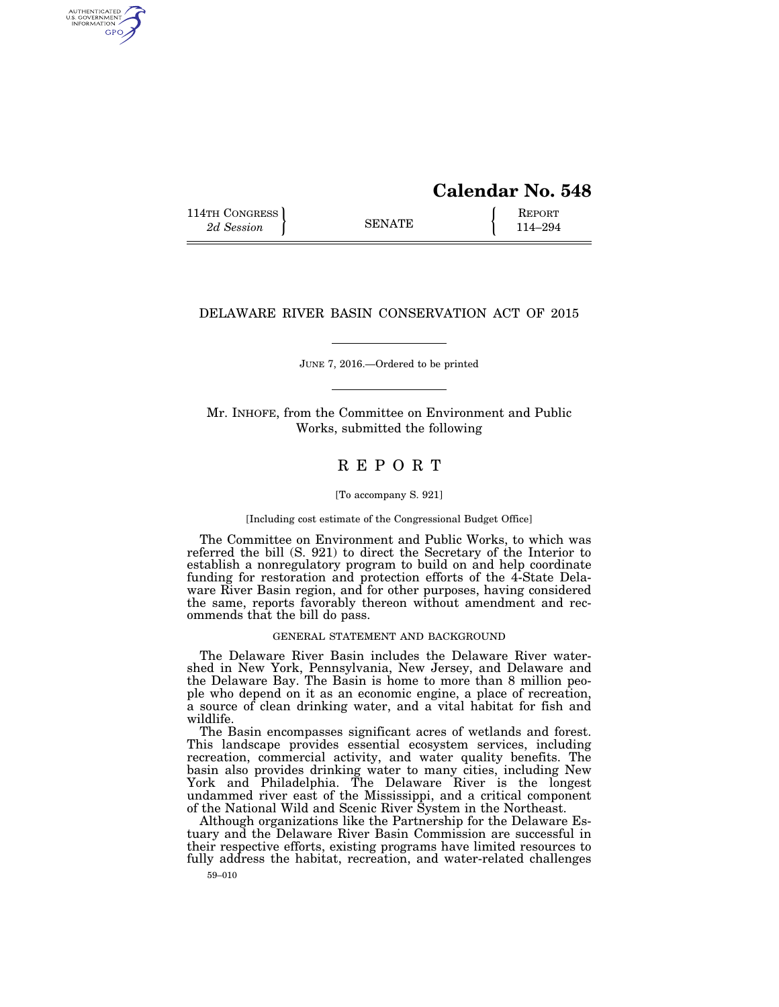# **Calendar No. 548**

114TH CONGRESS **REPORT** 2d Session **114–294** 

AUTHENTICATED<br>U.S. GOVERNMENT<br>INFORMATION GPO

# DELAWARE RIVER BASIN CONSERVATION ACT OF 2015

JUNE 7, 2016.—Ordered to be printed

Mr. INHOFE, from the Committee on Environment and Public Works, submitted the following

# R E P O R T

[To accompany S. 921]

[Including cost estimate of the Congressional Budget Office]

The Committee on Environment and Public Works, to which was referred the bill (S. 921) to direct the Secretary of the Interior to establish a nonregulatory program to build on and help coordinate funding for restoration and protection efforts of the 4-State Delaware River Basin region, and for other purposes, having considered the same, reports favorably thereon without amendment and recommends that the bill do pass.

# GENERAL STATEMENT AND BACKGROUND

The Delaware River Basin includes the Delaware River watershed in New York, Pennsylvania, New Jersey, and Delaware and the Delaware Bay. The Basin is home to more than 8 million people who depend on it as an economic engine, a place of recreation, a source of clean drinking water, and a vital habitat for fish and wildlife.

The Basin encompasses significant acres of wetlands and forest. This landscape provides essential ecosystem services, including recreation, commercial activity, and water quality benefits. The basin also provides drinking water to many cities, including New York and Philadelphia. The Delaware River is the longest undammed river east of the Mississippi, and a critical component of the National Wild and Scenic River System in the Northeast.

Although organizations like the Partnership for the Delaware Estuary and the Delaware River Basin Commission are successful in their respective efforts, existing programs have limited resources to fully address the habitat, recreation, and water-related challenges

59–010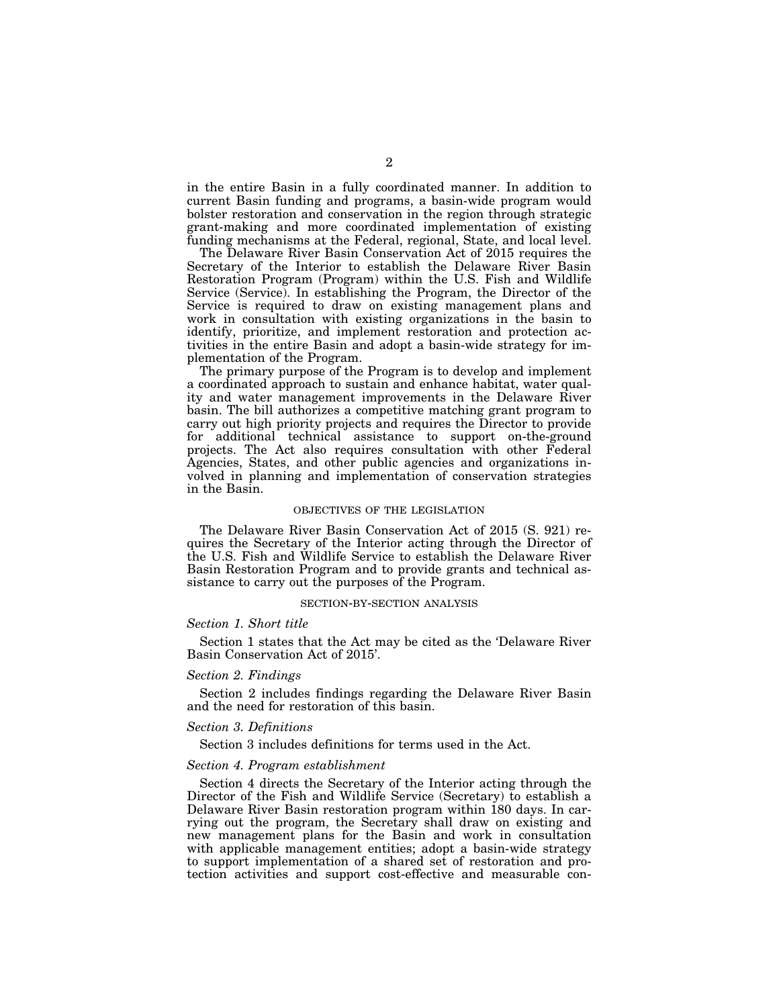in the entire Basin in a fully coordinated manner. In addition to current Basin funding and programs, a basin-wide program would bolster restoration and conservation in the region through strategic grant-making and more coordinated implementation of existing funding mechanisms at the Federal, regional, State, and local level.

The Delaware River Basin Conservation Act of 2015 requires the Secretary of the Interior to establish the Delaware River Basin Restoration Program (Program) within the U.S. Fish and Wildlife Service (Service). In establishing the Program, the Director of the Service is required to draw on existing management plans and work in consultation with existing organizations in the basin to identify, prioritize, and implement restoration and protection activities in the entire Basin and adopt a basin-wide strategy for implementation of the Program.

The primary purpose of the Program is to develop and implement a coordinated approach to sustain and enhance habitat, water quality and water management improvements in the Delaware River basin. The bill authorizes a competitive matching grant program to carry out high priority projects and requires the Director to provide for additional technical assistance to support on-the-ground projects. The Act also requires consultation with other Federal Agencies, States, and other public agencies and organizations involved in planning and implementation of conservation strategies in the Basin.

#### OBJECTIVES OF THE LEGISLATION

The Delaware River Basin Conservation Act of 2015 (S. 921) requires the Secretary of the Interior acting through the Director of the U.S. Fish and Wildlife Service to establish the Delaware River Basin Restoration Program and to provide grants and technical assistance to carry out the purposes of the Program.

#### SECTION-BY-SECTION ANALYSIS

# *Section 1. Short title*

Section 1 states that the Act may be cited as the 'Delaware River Basin Conservation Act of 2015'.

#### *Section 2. Findings*

Section 2 includes findings regarding the Delaware River Basin and the need for restoration of this basin.

#### *Section 3. Definitions*

Section 3 includes definitions for terms used in the Act.

#### *Section 4. Program establishment*

Section 4 directs the Secretary of the Interior acting through the Director of the Fish and Wildlife Service (Secretary) to establish a Delaware River Basin restoration program within 180 days. In carrying out the program, the Secretary shall draw on existing and new management plans for the Basin and work in consultation with applicable management entities; adopt a basin-wide strategy to support implementation of a shared set of restoration and protection activities and support cost-effective and measurable con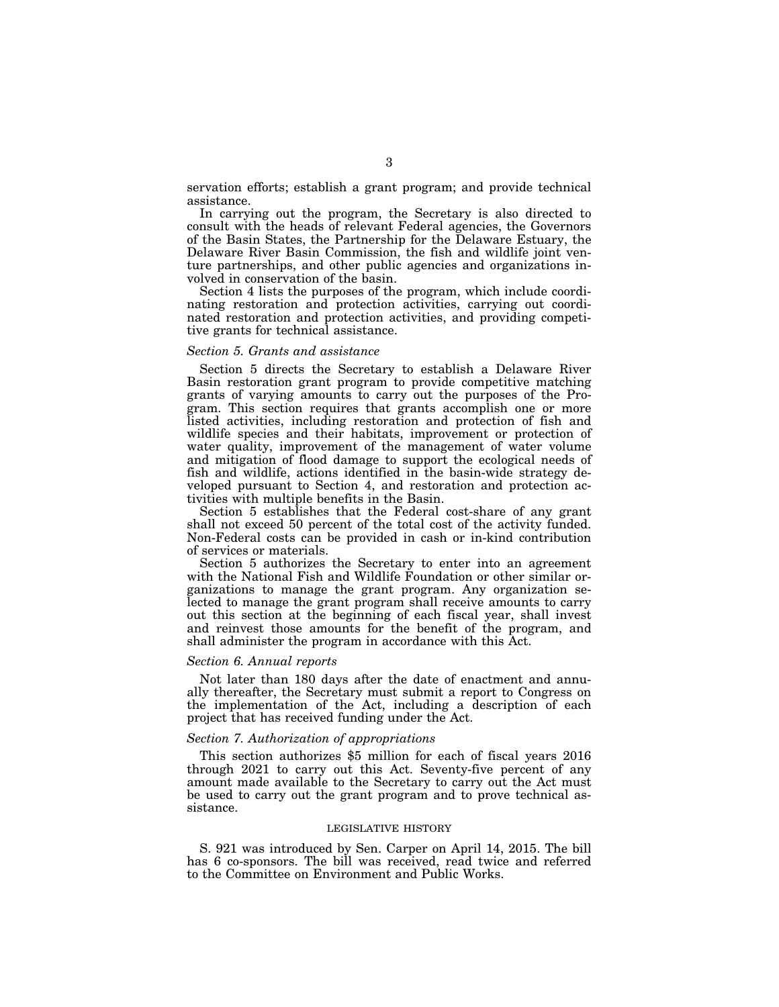servation efforts; establish a grant program; and provide technical assistance.

In carrying out the program, the Secretary is also directed to consult with the heads of relevant Federal agencies, the Governors of the Basin States, the Partnership for the Delaware Estuary, the Delaware River Basin Commission, the fish and wildlife joint venture partnerships, and other public agencies and organizations involved in conservation of the basin.

Section 4 lists the purposes of the program, which include coordinating restoration and protection activities, carrying out coordinated restoration and protection activities, and providing competitive grants for technical assistance.

## *Section 5. Grants and assistance*

Section 5 directs the Secretary to establish a Delaware River Basin restoration grant program to provide competitive matching grants of varying amounts to carry out the purposes of the Program. This section requires that grants accomplish one or more listed activities, including restoration and protection of fish and wildlife species and their habitats, improvement or protection of water quality, improvement of the management of water volume and mitigation of flood damage to support the ecological needs of fish and wildlife, actions identified in the basin-wide strategy developed pursuant to Section 4, and restoration and protection activities with multiple benefits in the Basin.

Section 5 establishes that the Federal cost-share of any grant shall not exceed 50 percent of the total cost of the activity funded. Non-Federal costs can be provided in cash or in-kind contribution of services or materials.

Section 5 authorizes the Secretary to enter into an agreement with the National Fish and Wildlife Foundation or other similar organizations to manage the grant program. Any organization selected to manage the grant program shall receive amounts to carry out this section at the beginning of each fiscal year, shall invest and reinvest those amounts for the benefit of the program, and shall administer the program in accordance with this Act.

#### *Section 6. Annual reports*

Not later than 180 days after the date of enactment and annually thereafter, the Secretary must submit a report to Congress on the implementation of the Act, including a description of each project that has received funding under the Act.

## *Section 7. Authorization of appropriations*

This section authorizes \$5 million for each of fiscal years 2016 through 2021 to carry out this Act. Seventy-five percent of any amount made available to the Secretary to carry out the Act must be used to carry out the grant program and to prove technical assistance.

#### LEGISLATIVE HISTORY

S. 921 was introduced by Sen. Carper on April 14, 2015. The bill has 6 co-sponsors. The bill was received, read twice and referred to the Committee on Environment and Public Works.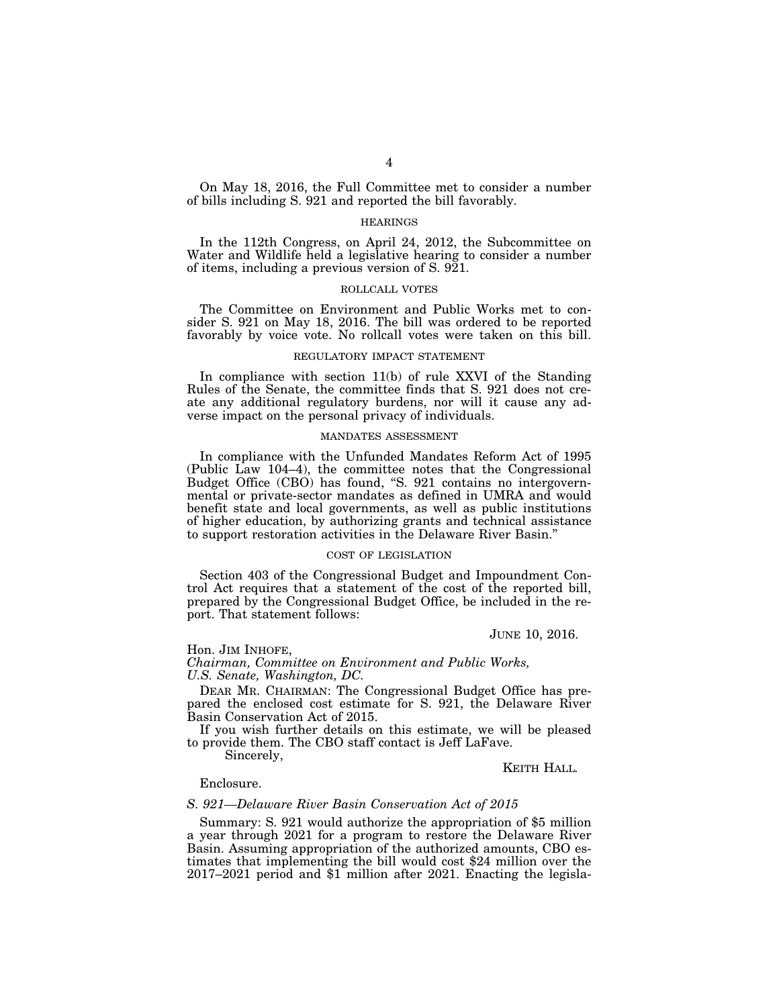On May 18, 2016, the Full Committee met to consider a number of bills including S. 921 and reported the bill favorably.

# **HEARINGS**

In the 112th Congress, on April 24, 2012, the Subcommittee on Water and Wildlife held a legislative hearing to consider a number of items, including a previous version of S. 921.

# ROLLCALL VOTES

The Committee on Environment and Public Works met to consider S. 921 on May 18, 2016. The bill was ordered to be reported favorably by voice vote. No rollcall votes were taken on this bill.

# REGULATORY IMPACT STATEMENT

In compliance with section 11(b) of rule XXVI of the Standing Rules of the Senate, the committee finds that S. 921 does not create any additional regulatory burdens, nor will it cause any adverse impact on the personal privacy of individuals.

#### MANDATES ASSESSMENT

In compliance with the Unfunded Mandates Reform Act of 1995 (Public Law 104–4), the committee notes that the Congressional Budget Office (CBO) has found, "S. 921 contains no intergovernmental or private-sector mandates as defined in UMRA and would benefit state and local governments, as well as public institutions of higher education, by authorizing grants and technical assistance to support restoration activities in the Delaware River Basin.''

# COST OF LEGISLATION

Section 403 of the Congressional Budget and Impoundment Control Act requires that a statement of the cost of the reported bill, prepared by the Congressional Budget Office, be included in the report. That statement follows:

JUNE 10, 2016.

Hon. JIM INHOFE,

*Chairman, Committee on Environment and Public Works, U.S. Senate, Washington, DC.* 

DEAR MR. CHAIRMAN: The Congressional Budget Office has prepared the enclosed cost estimate for S. 921, the Delaware River Basin Conservation Act of 2015.

If you wish further details on this estimate, we will be pleased to provide them. The CBO staff contact is Jeff LaFave.

Sincerely,

KEITH HALL*.* 

# Enclosure.

# *S. 921—Delaware River Basin Conservation Act of 2015*

Summary: S. 921 would authorize the appropriation of \$5 million a year through 2021 for a program to restore the Delaware River Basin. Assuming appropriation of the authorized amounts, CBO estimates that implementing the bill would cost \$24 million over the 2017–2021 period and \$1 million after 2021. Enacting the legisla